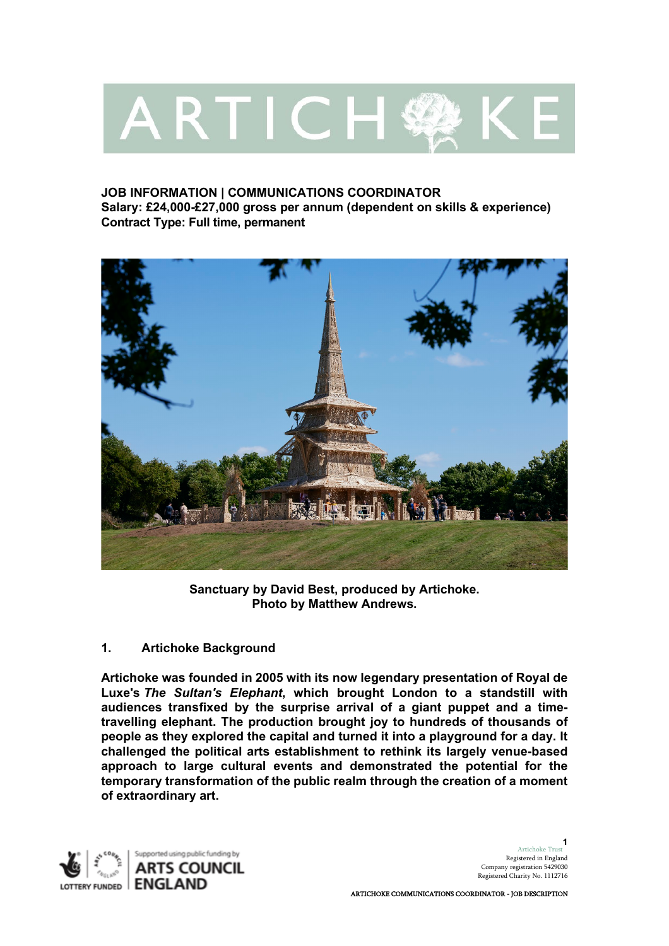# ARTICH 经 K

## **JOB INFORMATION | COMMUNICATIONS COORDINATOR Salary: £24,000-£27,000 gross per annum (dependent on skills & experience) Contract Type: Full time, permanent**



**Sanctuary by David Best, produced by Artichoke. Photo by Matthew Andrews.**

# **1. Artichoke Background**

**Artichoke was founded in 2005 with its now legendary presentation of Royal de Luxe's** *The Sultan's Elephant***, which brought London to a standstill with audiences transfixed by the surprise arrival of a giant puppet and a timetravelling elephant. The production brought joy to hundreds of thousands of people as they explored the capital and turned it into a playground for a day. It challenged the political arts establishment to rethink its largely venue-based approach to large cultural events and demonstrated the potential for the temporary transformation of the public realm through the creation of a moment of extraordinary art.** 

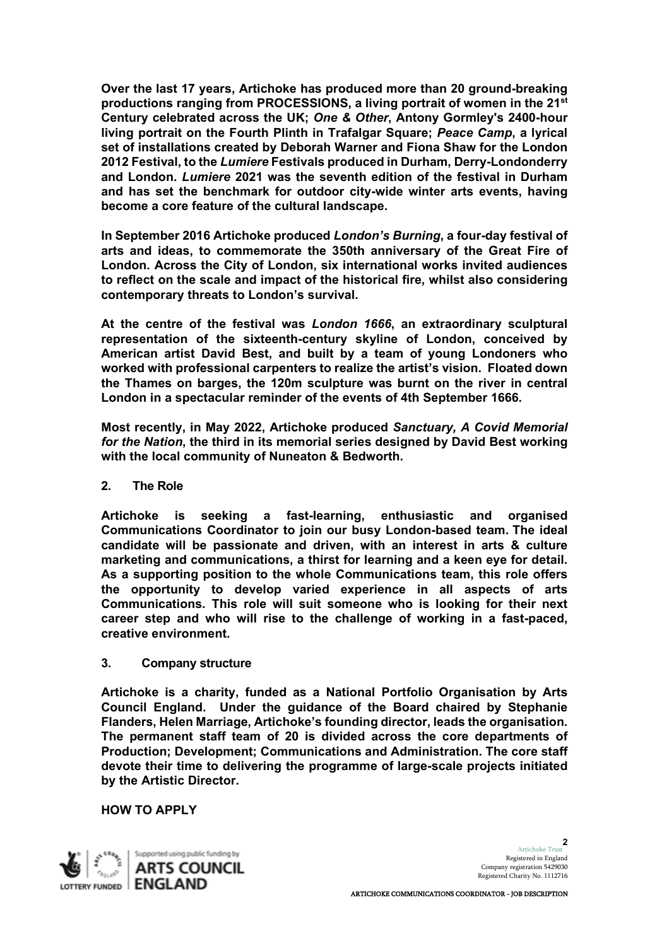**Over the last 17 years, Artichoke has produced more than 20 ground-breaking productions ranging from PROCESSIONS, a living portrait of women in the 21st Century celebrated across the UK;** *One & Other***, Antony Gormley's 2400-hour living portrait on the Fourth Plinth in Trafalgar Square;** *Peace Camp***, a lyrical set of installations created by Deborah Warner and Fiona Shaw for the London 2012 Festival, to the** *Lumiere* **Festivals produced in Durham, Derry-Londonderry and London.** *Lumiere* **2021 was the seventh edition of the festival in Durham and has set the benchmark for outdoor city-wide winter arts events, having become a core feature of the cultural landscape.**

**In September 2016 Artichoke produced** *London's Burning***, a four-day festival of arts and ideas, to commemorate the 350th anniversary of the Great Fire of London. Across the City of London, six international works invited audiences to reflect on the scale and impact of the historical fire, whilst also considering contemporary threats to London's survival.** 

**At the centre of the festival was** *London 1666***, an extraordinary sculptural representation of the sixteenth-century skyline of London, conceived by American artist David Best, and built by a team of young Londoners who worked with professional carpenters to realize the artist's vision. Floated down the Thames on barges, the 120m sculpture was burnt on the river in central London in a spectacular reminder of the events of 4th September 1666.**

**Most recently, in May 2022, Artichoke produced** *Sanctuary, A Covid Memorial for the Nation***, the third in its memorial series designed by David Best working with the local community of Nuneaton & Bedworth.**

## **2. The Role**

**Artichoke is seeking a fast-learning, enthusiastic and organised Communications Coordinator to join our busy London-based team. The ideal candidate will be passionate and driven, with an interest in arts & culture marketing and communications, a thirst for learning and a keen eye for detail. As a supporting position to the whole Communications team, this role offers the opportunity to develop varied experience in all aspects of arts Communications. This role will suit someone who is looking for their next career step and who will rise to the challenge of working in a fast-paced, creative environment.**

## **3. Company structure**

**Artichoke is a charity, funded as a National Portfolio Organisation by Arts Council England. Under the guidance of the Board chaired by Stephanie Flanders, Helen Marriage, Artichoke's founding director, leads the organisation. The permanent staff team of 20 is divided across the core departments of Production; Development; Communications and Administration. The core staff devote their time to delivering the programme of large-scale projects initiated by the Artistic Director.**

**HOW TO APPLY** 

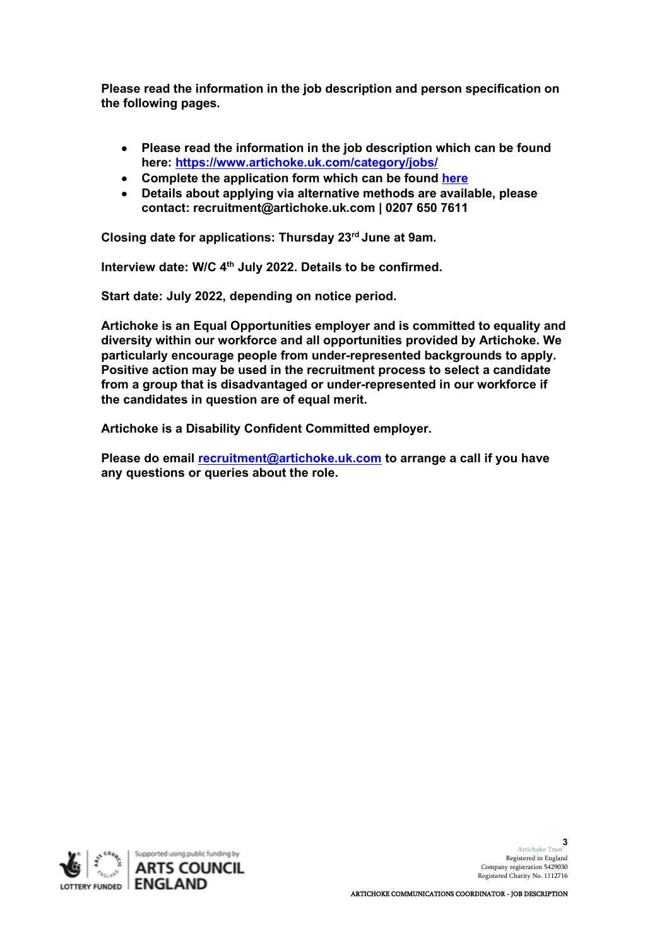**Please read the information in the job description and person specification on the following pages.** 

- **Please read the information in the job description which can be found here: <https://www.artichoke.uk.com/category/jobs/>**
- **Complete the application form which can be found [here](https://forms.office.com/r/FPZ3rAPnXR)**
- **Details about applying via alternative methods are available, please contact: [recruitment@artichoke.uk.com](mailto:artichoke@artichoke.uk.com) | 0207 650 7611**

**Closing date for applications: Thursday 23rd June at 9am.**

**Interview date: W/C 4th July 2022. Details to be confirmed.**

**Start date: July 2022, depending on notice period.**

**Artichoke is an Equal Opportunities employer and is committed to equality and diversity within our workforce and all opportunities provided by Artichoke. We particularly encourage people from under-represented backgrounds to apply. Positive action may be used in the recruitment process to select a candidate from a group that is disadvantaged or under-represented in our workforce if the candidates in question are of equal merit.** 

**Artichoke is a Disability Confident Committed employer.**

**Please do email [recruitment@artichoke.uk.com](mailto:recruitment@artichoke.uk.com) to arrange a call if you have any questions or queries about the role.** 

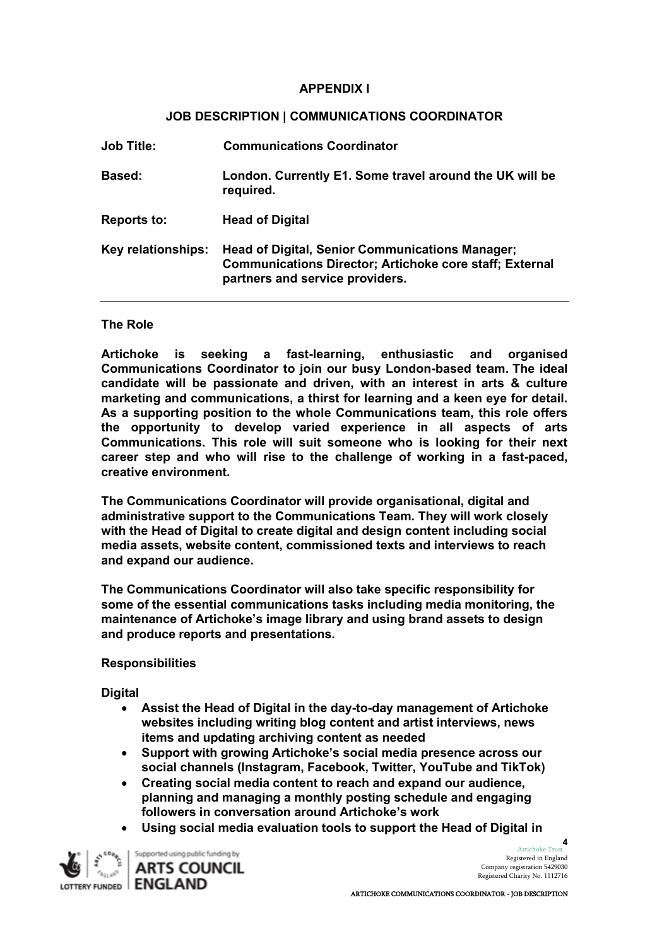#### **APPENDIX I**

#### **JOB DESCRIPTION | COMMUNICATIONS COORDINATOR**

| <b>Job Title:</b>  | <b>Communications Coordinator</b>                                                                                                                           |
|--------------------|-------------------------------------------------------------------------------------------------------------------------------------------------------------|
| <b>Based:</b>      | London. Currently E1. Some travel around the UK will be<br>required.                                                                                        |
| <b>Reports to:</b> | <b>Head of Digital</b>                                                                                                                                      |
| Key relationships: | <b>Head of Digital, Senior Communications Manager;</b><br><b>Communications Director; Artichoke core staff; External</b><br>partners and service providers. |

#### **The Role**

**Artichoke is seeking a fast-learning, enthusiastic and organised Communications Coordinator to join our busy London-based team. The ideal candidate will be passionate and driven, with an interest in arts & culture marketing and communications, a thirst for learning and a keen eye for detail. As a supporting position to the whole Communications team, this role offers the opportunity to develop varied experience in all aspects of arts Communications. This role will suit someone who is looking for their next career step and who will rise to the challenge of working in a fast-paced, creative environment.**

**The Communications Coordinator will provide organisational, digital and administrative support to the Communications Team. They will work closely with the Head of Digital to create digital and design content including social media assets, website content, commissioned texts and interviews to reach and expand our audience.**

**The Communications Coordinator will also take specific responsibility for some of the essential communications tasks including media monitoring, the maintenance of Artichoke's image library and using brand assets to design and produce reports and presentations.** 

#### **Responsibilities**

**Digital** 

- **Assist the Head of Digital in the day-to-day management of Artichoke websites including writing blog content and artist interviews, news items and updating archiving content as needed**
- **Support with growing Artichoke's social media presence across our social channels (Instagram, Facebook, Twitter, YouTube and TikTok)**
- **Creating social media content to reach and expand our audience, planning and managing a monthly posting schedule and engaging followers in conversation around Artichoke's work**
- **Using social media evaluation tools to support the Head of Digital in**



Supported using public funding by **ARTS COUNCIL**  Artichoke Trust Registered in England Company registration 5429030 Registered Charity No. 1112716 **4**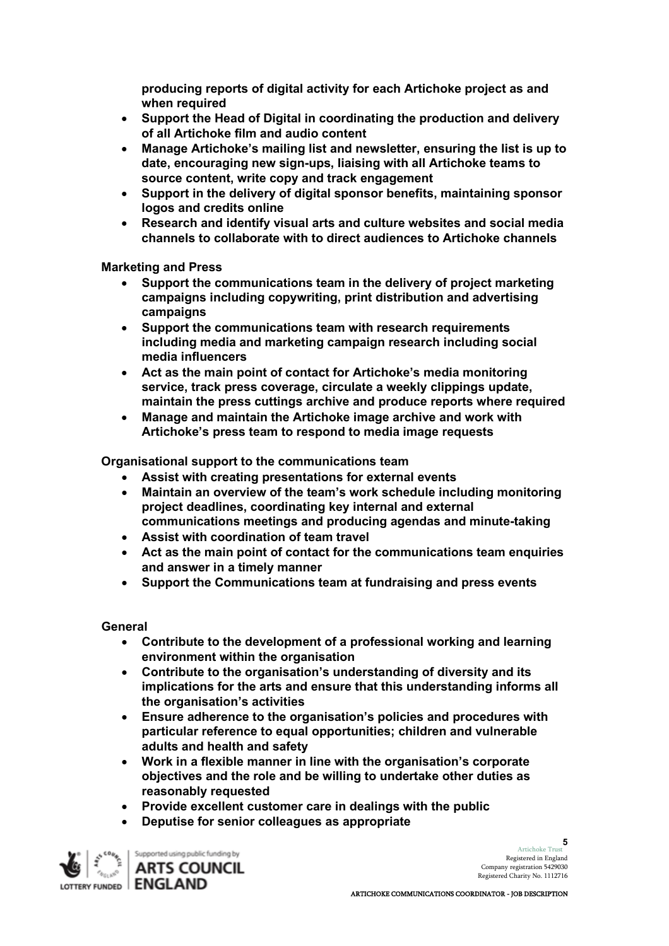**producing reports of digital activity for each Artichoke project as and when required**

- **Support the Head of Digital in coordinating the production and delivery of all Artichoke film and audio content**
- **Manage Artichoke's mailing list and newsletter, ensuring the list is up to date, encouraging new sign-ups, liaising with all Artichoke teams to source content, write copy and track engagement**
- **Support in the delivery of digital sponsor benefits, maintaining sponsor logos and credits online**
- **Research and identify visual arts and culture websites and social media channels to collaborate with to direct audiences to Artichoke channels**

**Marketing and Press** 

- **Support the communications team in the delivery of project marketing campaigns including copywriting, print distribution and advertising campaigns**
- **Support the communications team with research requirements including media and marketing campaign research including social media influencers**
- **Act as the main point of contact for Artichoke's media monitoring service, track press coverage, circulate a weekly clippings update, maintain the press cuttings archive and produce reports where required**
- **Manage and maintain the Artichoke image archive and work with Artichoke's press team to respond to media image requests**

**Organisational support to the communications team**

- **Assist with creating presentations for external events**
- **Maintain an overview of the team's work schedule including monitoring project deadlines, coordinating key internal and external communications meetings and producing agendas and minute-taking**
- **Assist with coordination of team travel**
- **Act as the main point of contact for the communications team enquiries and answer in a timely manner**
- **Support the Communications team at fundraising and press events**

**General** 

- **Contribute to the development of a professional working and learning environment within the organisation**
- **Contribute to the organisation's understanding of diversity and its implications for the arts and ensure that this understanding informs all the organisation's activities**
- **Ensure adherence to the organisation's policies and procedures with particular reference to equal opportunities; children and vulnerable adults and health and safety**
- **Work in a flexible manner in line with the organisation's corporate objectives and the role and be willing to undertake other duties as reasonably requested**
- **Provide excellent customer care in dealings with the public**
- **Deputise for senior colleagues as appropriate**



Artichoke Trust Registered in England Company registration 5429030 Registered Charity No. 1112716

**5**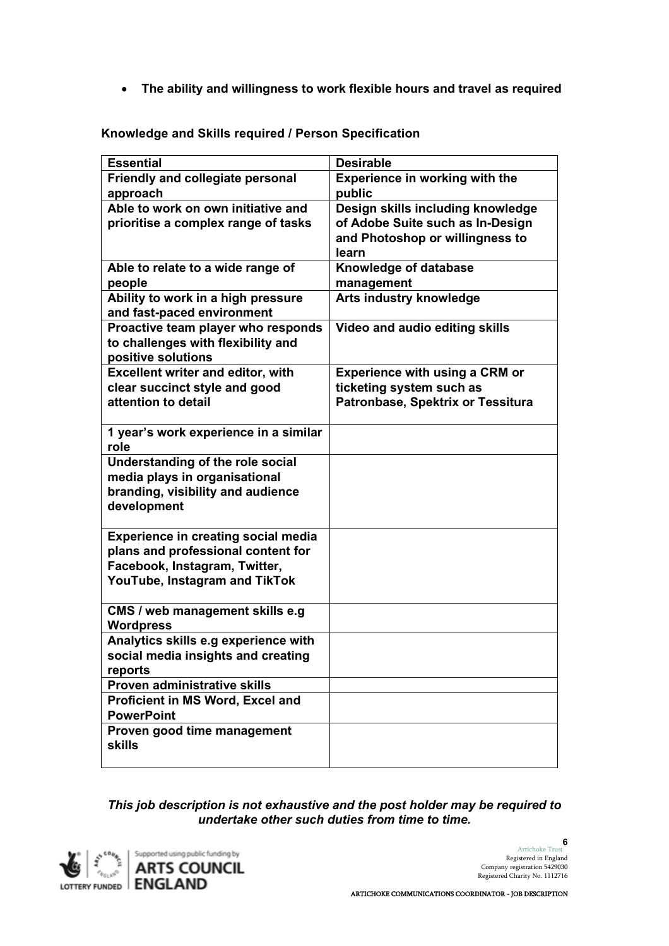• **The ability and willingness to work flexible hours and travel as required**

| <b>Essential</b>                                      | <b>Desirable</b>                      |
|-------------------------------------------------------|---------------------------------------|
| Friendly and collegiate personal                      | <b>Experience in working with the</b> |
| approach                                              | public                                |
| Able to work on own initiative and                    | Design skills including knowledge     |
| prioritise a complex range of tasks                   | of Adobe Suite such as In-Design      |
|                                                       | and Photoshop or willingness to       |
|                                                       | learn                                 |
| Able to relate to a wide range of                     | Knowledge of database                 |
| people                                                | management                            |
| Ability to work in a high pressure                    | <b>Arts industry knowledge</b>        |
| and fast-paced environment                            |                                       |
| Proactive team player who responds                    | Video and audio editing skills        |
| to challenges with flexibility and                    |                                       |
| positive solutions                                    |                                       |
| <b>Excellent writer and editor, with</b>              | <b>Experience with using a CRM or</b> |
| clear succinct style and good                         | ticketing system such as              |
| attention to detail                                   | Patronbase, Spektrix or Tessitura     |
|                                                       |                                       |
| 1 year's work experience in a similar                 |                                       |
| role                                                  |                                       |
| Understanding of the role social                      |                                       |
| media plays in organisational                         |                                       |
| branding, visibility and audience                     |                                       |
| development                                           |                                       |
|                                                       |                                       |
| <b>Experience in creating social media</b>            |                                       |
| plans and professional content for                    |                                       |
| Facebook, Instagram, Twitter,                         |                                       |
| YouTube, Instagram and TikTok                         |                                       |
|                                                       |                                       |
| CMS / web management skills e.g                       |                                       |
| <b>Wordpress</b>                                      |                                       |
| Analytics skills e.g experience with                  |                                       |
| social media insights and creating<br>reports         |                                       |
| Proven administrative skills                          |                                       |
|                                                       |                                       |
| Proficient in MS Word, Excel and<br><b>PowerPoint</b> |                                       |
| Proven good time management                           |                                       |
| <b>skills</b>                                         |                                       |
|                                                       |                                       |

**Knowledge and Skills required / Person Specification** 

*This job description is not exhaustive and the post holder may be required to undertake other such duties from time to time.* 

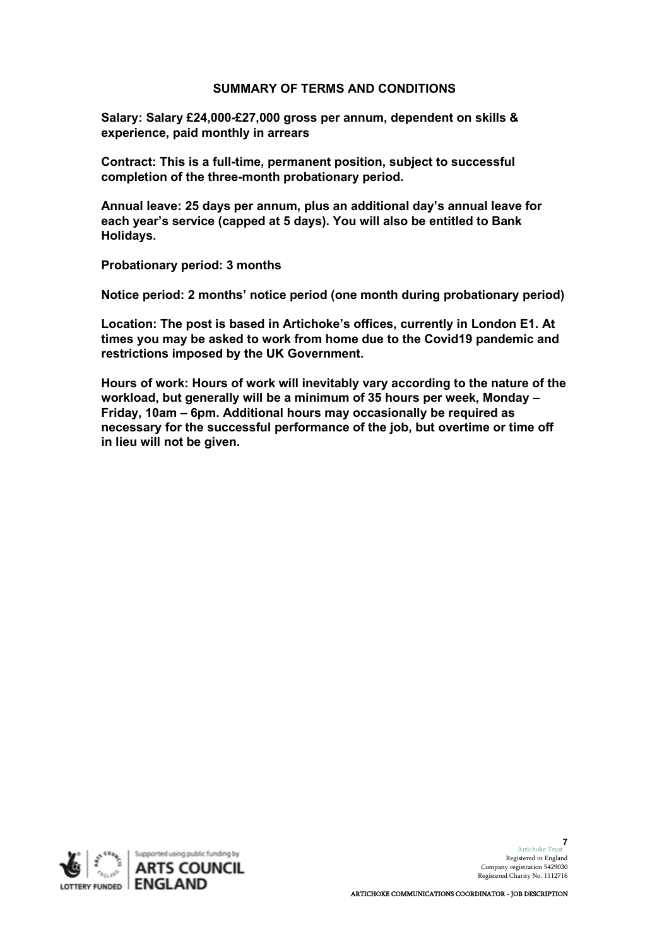#### **SUMMARY OF TERMS AND CONDITIONS**

**Salary: Salary £24,000-£27,000 gross per annum, dependent on skills & experience, paid monthly in arrears**

**Contract: This is a full-time, permanent position, subject to successful completion of the three-month probationary period.**

**Annual leave: 25 days per annum, plus an additional day's annual leave for each year's service (capped at 5 days). You will also be entitled to Bank Holidays.**

**Probationary period: 3 months**

**Notice period: 2 months' notice period (one month during probationary period)**

**Location: The post is based in Artichoke's offices, currently in London E1. At times you may be asked to work from home due to the Covid19 pandemic and restrictions imposed by the UK Government.**

**Hours of work: Hours of work will inevitably vary according to the nature of the workload, but generally will be a minimum of 35 hours per week, Monday – Friday, 10am – 6pm. Additional hours may occasionally be required as necessary for the successful performance of the job, but overtime or time off in lieu will not be given.** 



Artichoke Trust **7** Registered in England Company registration 5429030 Registered Charity No. 1112716

ARTICHOKE COMMUNICATIONS COORDINATOR - JOB DESCRIPTION